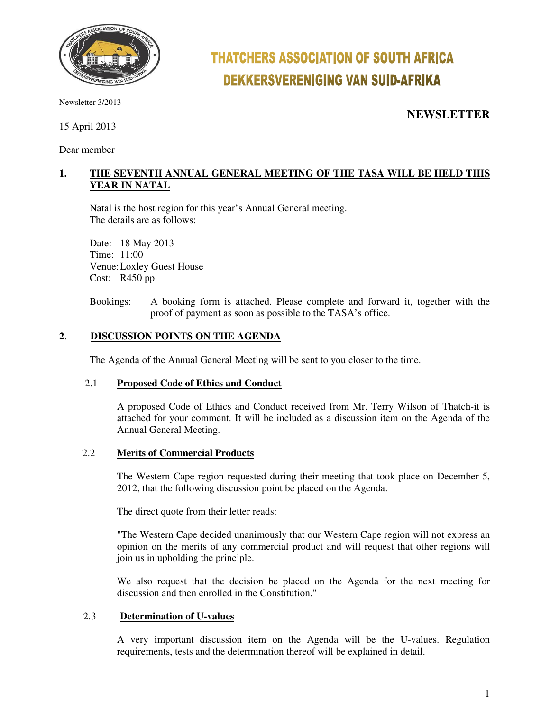

Newsletter 3/2013

15 April 2013

Dear member

# **THATCHERS ASSOCIATION OF SOUTH AFRICA DEKKERSVERENIGING VAN SUID-AFRIKA**

**NEWSLETTER**

### **1. THE SEVENTH ANNUAL GENERAL MEETING OF THE TASA WILL BE HELD THIS YEAR IN NATAL**

Natal is the host region for this year's Annual General meeting. The details are as follows:

 Date: 18 May 2013 Time: 11:00 Venue: Loxley Guest House Cost: R450 pp

Bookings: A booking form is attached. Please complete and forward it, together with the proof of payment as soon as possible to the TASA's office.

#### **2**. **DISCUSSION POINTS ON THE AGENDA**

The Agenda of the Annual General Meeting will be sent to you closer to the time.

#### 2.1 **Proposed Code of Ethics and Conduct**

A proposed Code of Ethics and Conduct received from Mr. Terry Wilson of Thatch-it is attached for your comment. It will be included as a discussion item on the Agenda of the Annual General Meeting.

#### 2.2 **Merits of Commercial Products**

 The Western Cape region requested during their meeting that took place on December 5, 2012, that the following discussion point be placed on the Agenda.

The direct quote from their letter reads:

"The Western Cape decided unanimously that our Western Cape region will not express an opinion on the merits of any commercial product and will request that other regions will join us in upholding the principle.

We also request that the decision be placed on the Agenda for the next meeting for discussion and then enrolled in the Constitution."

#### 2.3 **Determination of U-values**

A very important discussion item on the Agenda will be the U-values. Regulation requirements, tests and the determination thereof will be explained in detail.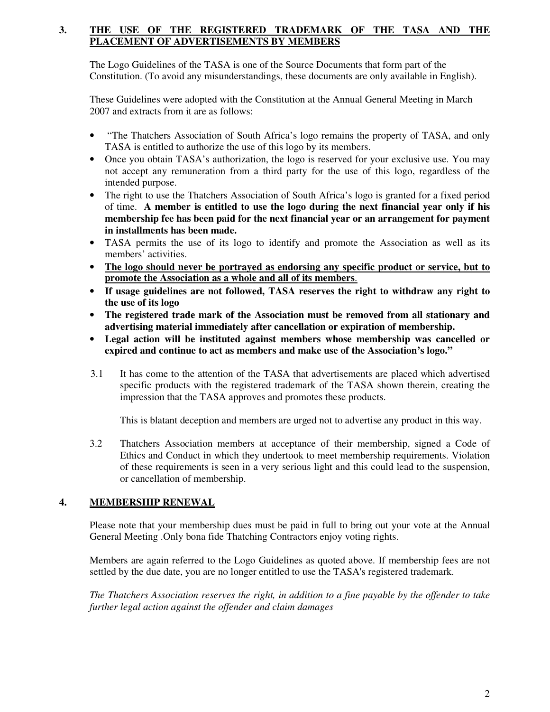#### **3. THE USE OF THE REGISTERED TRADEMARK OF THE TASA AND THE PLACEMENT OF ADVERTISEMENTS BY MEMBERS**

 The Logo Guidelines of the TASA is one of the Source Documents that form part of the Constitution. (To avoid any misunderstandings, these documents are only available in English).

 These Guidelines were adopted with the Constitution at the Annual General Meeting in March 2007 and extracts from it are as follows:

- "The Thatchers Association of South Africa's logo remains the property of TASA, and only TASA is entitled to authorize the use of this logo by its members.
- Once you obtain TASA's authorization, the logo is reserved for your exclusive use. You may not accept any remuneration from a third party for the use of this logo, regardless of the intended purpose.
- The right to use the Thatchers Association of South Africa's logo is granted for a fixed period of time. **A member is entitled to use the logo during the next financial year only if his membership fee has been paid for the next financial year or an arrangement for payment in installments has been made.**
- TASA permits the use of its logo to identify and promote the Association as well as its members' activities.
- **The logo should never be portrayed as endorsing any specific product or service, but to promote the Association as a whole and all of its members**.
- **If usage guidelines are not followed, TASA reserves the right to withdraw any right to the use of its logo**
- **The registered trade mark of the Association must be removed from all stationary and advertising material immediately after cancellation or expiration of membership.**
- **Legal action will be instituted against members whose membership was cancelled or expired and continue to act as members and make use of the Association's logo."**
- 3.1 It has come to the attention of the TASA that advertisements are placed which advertised specific products with the registered trademark of the TASA shown therein, creating the impression that the TASA approves and promotes these products.

This is blatant deception and members are urged not to advertise any product in this way.

3.2 Thatchers Association members at acceptance of their membership, signed a Code of Ethics and Conduct in which they undertook to meet membership requirements. Violation of these requirements is seen in a very serious light and this could lead to the suspension, or cancellation of membership.

#### **4. MEMBERSHIP RENEWAL**

Please note that your membership dues must be paid in full to bring out your vote at the Annual General Meeting .Only bona fide Thatching Contractors enjoy voting rights.

Members are again referred to the Logo Guidelines as quoted above. If membership fees are not settled by the due date, you are no longer entitled to use the TASA's registered trademark.

*The Thatchers Association reserves the right, in addition to a fine payable by the offender to take further legal action against the offender and claim damages*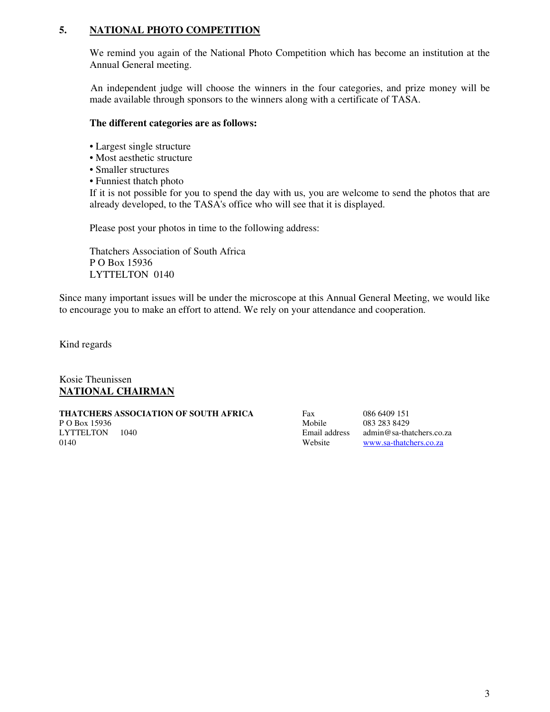#### **5. NATIONAL PHOTO COMPETITION**

We remind you again of the National Photo Competition which has become an institution at the Annual General meeting.

 An independent judge will choose the winners in the four categories, and prize money will be made available through sponsors to the winners along with a certificate of TASA.

#### **The different categories are as follows:**

- Largest single structure
- Most aesthetic structure
- Smaller structures
- Funniest thatch photo

If it is not possible for you to spend the day with us, you are welcome to send the photos that are already developed, to the TASA's office who will see that it is displayed.

Please post your photos in time to the following address:

Thatchers Association of South Africa P O Box 15936 LYTTELTON 0140

Since many important issues will be under the microscope at this Annual General Meeting, we would like to encourage you to make an effort to attend. We rely on your attendance and cooperation.

Kind regards

Kosie Theunissen **NATIONAL CHAIRMAN**

**THATCHERS ASSOCIATION OF SOUTH AFRICA** Fax 086 6409 151 P O Box 15936 1040<br>
LYTTELTON 1040 1040 1053 283 8429<br>
Email address admin@sa-tha 0140 Website www.sa-thatchers.co.za

Email address admin@sa-thatchers.co.za